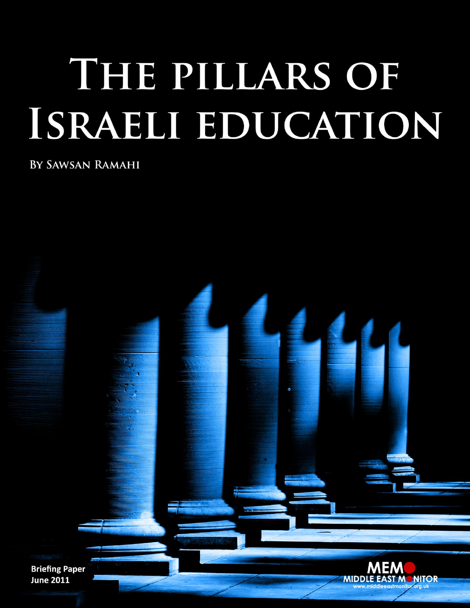# THE PILLARS OF ISRAELI EDUCATION

BY SAWSAN RAMAHI

**Briefing Paper June 2011** 

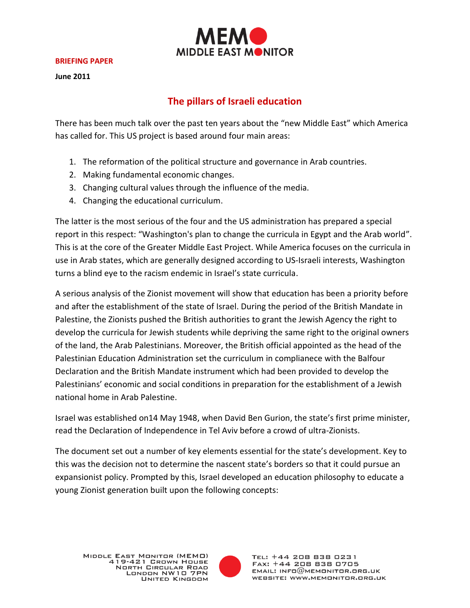

#### **BRIEFING PAPER**

**June 2011**

## **The pillars of Israeli education**

There has been much talk over the past ten years about the "new Middle East" which America has called for. This US project is based around four main areas:

- 1. The reformation of the political structure and governance in Arab countries.
- 2. Making fundamental economic changes.
- 3. Changing cultural values through the influence of the media.
- 4. Changing the educational curriculum.

The latter is the most serious of the four and the US administration has prepared a special report in this respect: "Washington's plan to change the curricula in Egypt and the Arab world". This is at the core of the Greater Middle East Project. While America focuses on the curricula in use in Arab states, which are generally designed according to US-Israeli interests, Washington turns a blind eye to the racism endemic in Israel's state curricula.

A serious analysis of the Zionist movement will show that education has been a priority before and after the establishment of the state of Israel. During the period of the British Mandate in Palestine, the Zionists pushed the British authorities to grant the Jewish Agency the right to develop the curricula for Jewish students while depriving the same right to the original owners of the land, the Arab Palestinians. Moreover, the British official appointed as the head of the Palestinian Education Administration set the curriculum in complianece with the Balfour Declaration and the British Mandate instrument which had been provided to develop the Palestinians' economic and social conditions in preparation for the establishment of a Jewish national home in Arab Palestine.

Israel was established on14 May 1948, when David Ben Gurion, the state's first prime minister, read the Declaration of Independence in Tel Aviv before a crowd of ultra-Zionists.

The document set out a number of key elements essential for the state's development. Key to this was the decision not to determine the nascent state's borders so that it could pursue an expansionist policy. Prompted by this, Israel developed an education philosophy to educate a young Zionist generation built upon the following concepts:

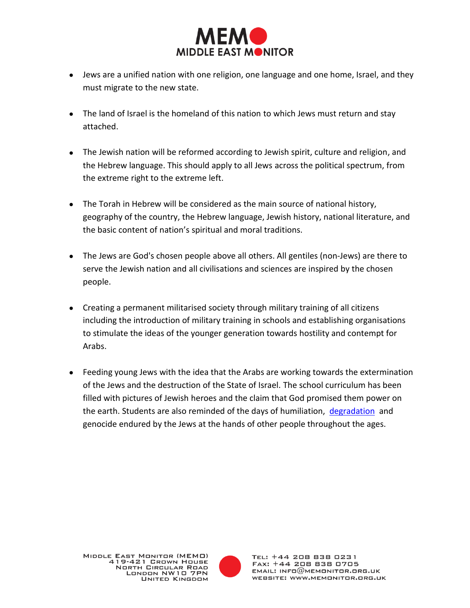

- Jews are a unified nation with one religion, one language and one home, Israel, and they must migrate to the new state.
- The land of Israel is the homeland of this nation to which Jews must return and stay attached.
- The Jewish nation will be reformed according to Jewish spirit, culture and religion, and the Hebrew language. This should apply to all Jews across the political spectrum, from the extreme right to the extreme left.
- The Torah in Hebrew will be considered as the main source of national history, geography of the country, the Hebrew language, Jewish history, national literature, and the basic content of nation's spiritual and moral traditions.
- The Jews are God's chosen people above all others. All gentiles (non-Jews) are there to serve the Jewish nation and all civilisations and sciences are inspired by the chosen people.
- Creating a permanent militarised society through military training of all citizens including the introduction of military training in schools and establishing organisations to stimulate the ideas of the younger generation towards hostility and contempt for Arabs.
- Feeding young Jews with the idea that the Arabs are working towards the extermination of the Jews and the destruction of the State of Israel. The school curriculum has been filled with pictures of Jewish heroes and the claim that God promised them power on the earth. Students are also reminded of the days of humiliation, [degradation](http://difaf.net/main/?p=3866) and genocide endured by the Jews at the hands of other people throughout the ages.

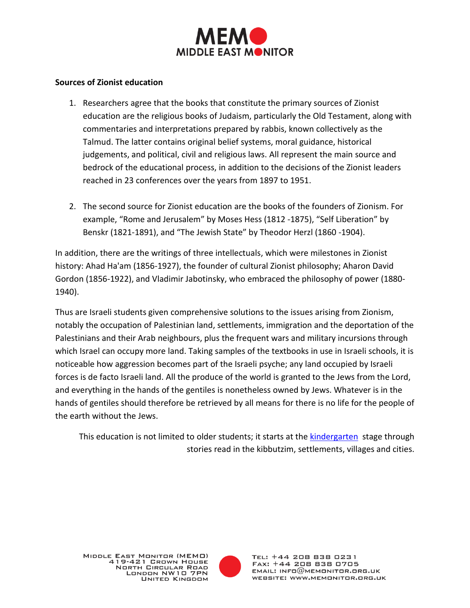

#### **Sources of Zionist education**

- 1. Researchers agree that the books that constitute the primary sources of Zionist education are the religious books of Judaism, particularly the Old Testament, along with commentaries and interpretations prepared by rabbis, known collectively as the Talmud. The latter contains original belief systems, moral guidance, historical judgements, and political, civil and religious laws. All represent the main source and bedrock of the educational process, in addition to the decisions of the Zionist leaders reached in 23 conferences over the years from 1897 to 1951.
- 2. The second source for Zionist education are the books of the founders of Zionism. For example, "Rome and Jerusalem" by Moses Hess (1812 -1875), "Self Liberation" by Benskr (1821-1891), and "The Jewish State" by Theodor Herzl (1860 -1904).

In addition, there are the writings of three intellectuals, which were milestones in Zionist history: Ahad Ha'am (1856-1927), the founder of cultural Zionist philosophy; Aharon David Gordon (1856-1922), and Vladimir Jabotinsky, who embraced the philosophy of power (1880- 1940).

Thus are Israeli students given comprehensive solutions to the issues arising from Zionism, notably the occupation of Palestinian land, settlements, immigration and the deportation of the Palestinians and their Arab neighbours, plus the frequent wars and military incursions through which Israel can occupy more land. Taking samples of the textbooks in use in Israeli schools, it is noticeable how aggression becomes part of the Israeli psyche; any land occupied by Israeli forces is de facto Israeli land. All the produce of the world is granted to the Jews from the Lord, and everything in the hands of the gentiles is nonetheless owned by Jews. Whatever is in the hands of gentiles should therefore be retrieved by all means for there is no life for the people of the earth without the Jews.

This education is not limited to older students; it starts at the [kindergarten](http://www.syrianstory.com/comment23-12.htm) stage through stories read in the kibbutzim, settlements, villages and cities.

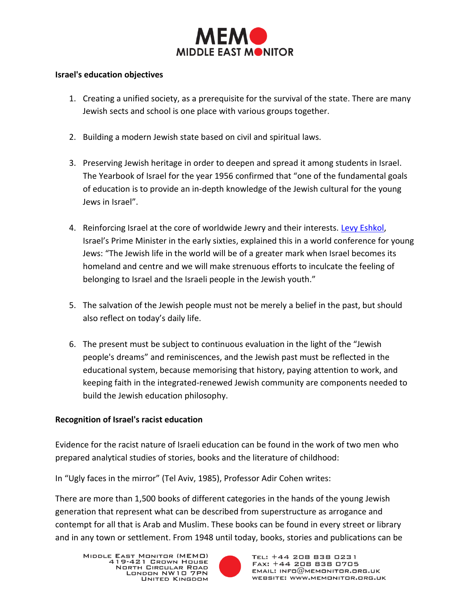

#### **Israel's education objectives**

- 1. Creating a unified society, as a prerequisite for the survival of the state. There are many Jewish sects and school is one place with various groups together.
- 2. Building a modern Jewish state based on civil and spiritual laws.
- 3. Preserving Jewish heritage in order to deepen and spread it among students in Israel. The Yearbook of Israel for the year 1956 confirmed that "one of the fundamental goals of education is to provide an in-depth knowledge of the Jewish cultural for the young Jews in Israel".
- 4. Reinforcing Israel at the core of worldwide Jewry and their interests. [Levy Eshkol,](http://elmo3alem.blogspot.com/2009/02/blog-post_07.html) Israel's Prime Minister in the early sixties, explained this in a world conference for young Jews: "The Jewish life in the world will be of a greater mark when Israel becomes its homeland and centre and we will make strenuous efforts to inculcate the feeling of belonging to Israel and the Israeli people in the Jewish youth."
- 5. The salvation of the Jewish people must not be merely a belief in the past, but should also reflect on today's daily life.
- 6. The present must be subject to continuous evaluation in the light of the "Jewish people's dreams" and reminiscences, and the Jewish past must be reflected in the educational system, because memorising that history, paying attention to work, and keeping faith in the integrated-renewed Jewish community are components needed to build the Jewish education philosophy.

#### **Recognition of Israel's racist education**

Evidence for the racist nature of Israeli education can be found in the work of two men who prepared analytical studies of stories, books and the literature of childhood:

In "Ugly faces in the mirror" (Tel Aviv, 1985), Professor Adir Cohen writes:

There are more than 1,500 books of different categories in the hands of the young Jewish generation that represent what can be described from superstructure as arrogance and contempt for all that is Arab and Muslim. These books can be found in every street or library and in any town or settlement. From 1948 until today, books, stories and publications can be

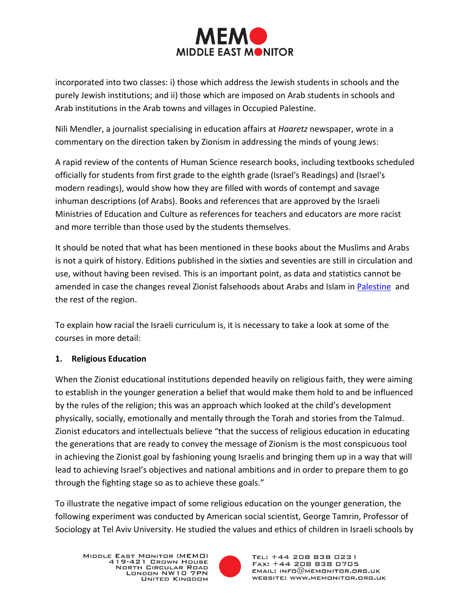

incorporated into two classes: i) those which address the Jewish students in schools and the purely Jewish institutions; and ii) those which are imposed on Arab students in schools and Arab institutions in the Arab towns and villages in Occupied Palestine.

Nili Mendler, a journalist specialising in education affairs at *Haaretz* newspaper, wrote in a commentary on the direction taken by Zionism in addressing the minds of young Jews:

A rapid review of the contents of Human Science research books, including textbooks scheduled officially for students from first grade to the eighth grade (Israel's Readings) and (Israel's modern readings), would show how they are filled with words of contempt and savage inhuman descriptions (of Arabs). Books and references that are approved by the Israeli Ministries of Education and Culture as references for teachers and educators are more racist and more terrible than those used by the students themselves.

It should be noted that what has been mentioned in these books about the Muslims and Arabs is not a quirk of history. Editions published in the sixties and seventies are still in circulation and use, without having been revised. This is an important point, as data and statistics cannot be amended in case the changes reveal Zionist falsehoods about Arabs and Islam in [Palestine](http://www.syrianstory.com/comment23-12.htm) and the rest of the region.

To explain how racial the Israeli curriculum is, it is necessary to take a look at some of the courses in more detail:

### **1. Religious Education**

When the Zionist educational institutions depended heavily on religious faith, they were aiming to establish in the younger generation a belief that would make them hold to and be influenced by the rules of the religion; this was an approach which looked at the child's development physically, socially, emotionally and mentally through the Torah and stories from the Talmud. Zionist educators and intellectuals believe "that the success of religious education in educating the generations that are ready to convey the message of Zionism is the most conspicuous tool in achieving the Zionist goal by fashioning young Israelis and bringing them up in a way that will lead to achieving Israel's objectives and national ambitions and in order to prepare them to go through the fighting stage so as to achieve these goals."

To illustrate the negative impact of some religious education on the younger generation, the following experiment was conducted by American social scientist, George Tamrin, Professor of Sociology at Tel Aviv University. He studied the values and ethics of children in Israeli schools by

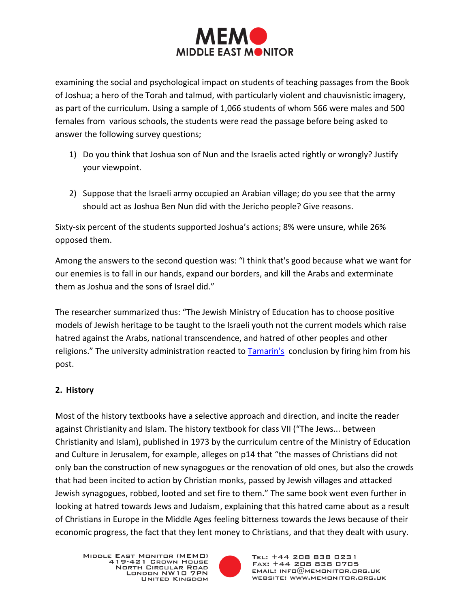

examining the social and psychological impact on students of teaching passages from the Book of Joshua; a hero of the Torah and talmud, with particularly violent and chauvisnistic imagery, as part of the curriculum. Using a sample of 1,066 students of whom 566 were males and 500 females from various schools, the students were read the passage before being asked to answer the following survey questions;

- 1) Do you think that Joshua son of Nun and the Israelis acted rightly or wrongly? Justify your viewpoint.
- 2) Suppose that the Israeli army occupied an Arabian village; do you see that the army should act as Joshua Ben Nun did with the Jericho people? Give reasons.

Sixty-six percent of the students supported Joshua's actions; 8% were unsure, while 26% opposed them.

Among the answers to the second question was: "I think that's good because what we want for our enemies is to fall in our hands, expand our borders, and kill the Arabs and exterminate them as Joshua and the sons of Israel did."

The researcher summarized thus: "The Jewish Ministry of Education has to choose positive models of Jewish heritage to be taught to the Israeli youth not the current models which raise hatred against the Arabs, national transcendence, and hatred of other peoples and other religions." The university administration reacted to **Tamarin's** conclusion by firing him from his post.

### **2. History**

Most of the history textbooks have a selective approach and direction, and incite the reader against Christianity and Islam. The history textbook for class VII ("The Jews... between Christianity and Islam), published in 1973 by the curriculum centre of the Ministry of Education and Culture in Jerusalem, for example, alleges on p14 that "the masses of Christians did not only ban the construction of new synagogues or the renovation of old ones, but also the crowds that had been incited to action by Christian monks, passed by Jewish villages and attacked Jewish synagogues, robbed, looted and set fire to them." The same book went even further in looking at hatred towards Jews and Judaism, explaining that this hatred came about as a result of Christians in Europe in the Middle Ages feeling bitterness towards the Jews because of their economic progress, the fact that they lent money to Christians, and that they dealt with usury.

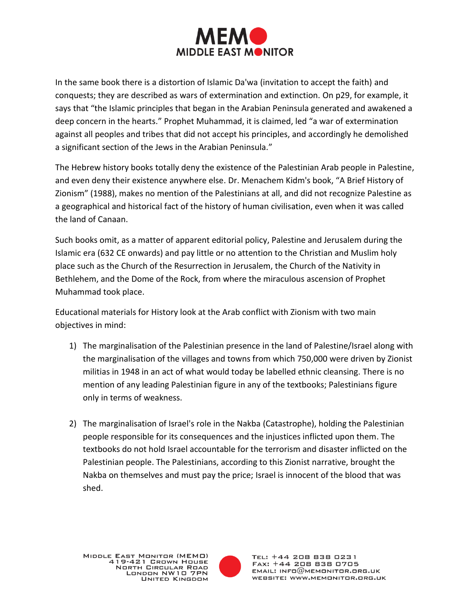

In the same book there is a distortion of Islamic Da'wa (invitation to accept the faith) and conquests; they are described as wars of extermination and extinction. On p29, for example, it says that "the Islamic principles that began in the Arabian Peninsula generated and awakened a deep concern in the hearts." Prophet Muhammad, it is claimed, led "a war of extermination against all peoples and tribes that did not accept his principles, and accordingly he demolished a significant section of the Jews in the Arabian Peninsula."

The Hebrew history books totally deny the existence of the Palestinian Arab people in Palestine, and even deny their existence anywhere else. Dr. Menachem Kidm's book, "A Brief History of Zionism" (1988), makes no mention of the Palestinians at all, and did not recognize Palestine as a geographical and historical fact of the history of human civilisation, even when it was called the land of Canaan.

Such books omit, as a matter of apparent editorial policy, Palestine and Jerusalem during the Islamic era (632 CE onwards) and pay little or no attention to the Christian and Muslim holy place such as the Church of the Resurrection in Jerusalem, the Church of the Nativity in Bethlehem, and the Dome of the Rock, from where the miraculous ascension of Prophet Muhammad took place.

Educational materials for History look at the Arab conflict with Zionism with two main objectives in mind:

- 1) The marginalisation of the Palestinian presence in the land of Palestine/Israel along with the marginalisation of the villages and towns from which 750,000 were driven by Zionist militias in 1948 in an act of what would today be labelled ethnic cleansing. There is no mention of any leading Palestinian figure in any of the textbooks; Palestinians figure only in terms of weakness.
- 2) The marginalisation of Israel's role in the Nakba (Catastrophe), holding the Palestinian people responsible for its consequences and the injustices inflicted upon them. The textbooks do not hold Israel accountable for the terrorism and disaster inflicted on the Palestinian people. The Palestinians, according to this Zionist narrative, brought the Nakba on themselves and must pay the price; Israel is innocent of the blood that was shed.

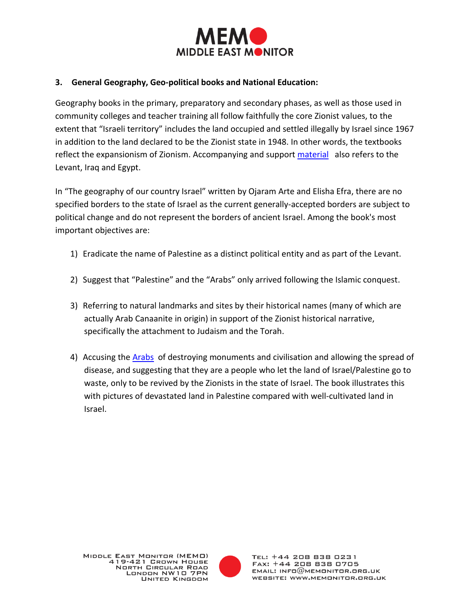

#### **3. General Geography, Geo-political books and National Education:**

Geography books in the primary, preparatory and secondary phases, as well as those used in community colleges and teacher training all follow faithfully the core Zionist values, to the extent that "Israeli territory" includes the land occupied and settled illegally by Israel since 1967 in addition to the land declared to be the Zionist state in 1948. In other words, the textbooks reflect the expansionism of Zionism. Accompanying and support [material](http://www.syrianstory.com/comment23-12.htm) also refers to the Levant, Iraq and Egypt.

In "The geography of our country Israel" written by Ojaram Arte and Elisha Efra, there are no specified borders to the state of Israel as the current generally-accepted borders are subject to political change and do not represent the borders of ancient Israel. Among the book's most important objectives are:

- 1) Eradicate the name of Palestine as a distinct political entity and as part of the Levant.
- 2) Suggest that "Palestine" and the "Arabs" only arrived following the Islamic conquest.
- 3) Referring to natural landmarks and sites by their historical names (many of which are actually Arab Canaanite in origin) in support of the Zionist historical narrative, specifically the attachment to Judaism and the Torah.
- 4) Accusing the [Arabs](http://difaf.net/main/?p=3866) of destroying monuments and civilisation and allowing the spread of disease, and suggesting that they are a people who let the land of Israel/Palestine go to waste, only to be revived by the Zionists in the state of Israel. The book illustrates this with pictures of devastated land in Palestine compared with well-cultivated land in Israel.

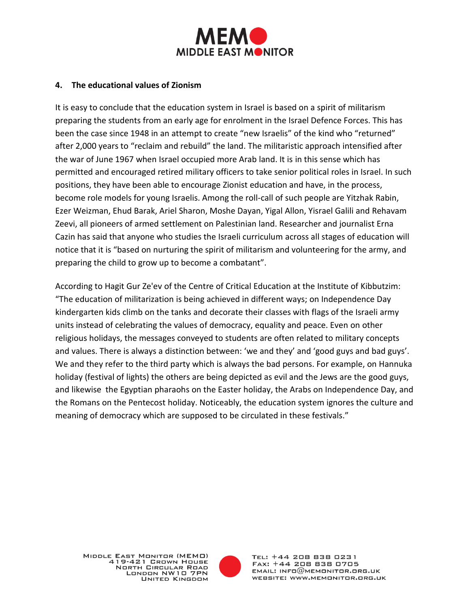

#### **4. The educational values of Zionism**

It is easy to conclude that the education system in Israel is based on a spirit of militarism preparing the students from an early age for enrolment in the Israel Defence Forces. This has been the case since 1948 in an attempt to create "new Israelis" of the kind who "returned" after 2,000 years to "reclaim and rebuild" the land. The militaristic approach intensified after the war of June 1967 when Israel occupied more Arab land. It is in this sense which has permitted and encouraged retired military officers to take senior political roles in Israel. In such positions, they have been able to encourage Zionist education and have, in the process, become role models for young Israelis. Among the roll-call of such people are Yitzhak Rabin, Ezer Weizman, Ehud Barak, Ariel Sharon, Moshe Dayan, Yigal Allon, Yisrael Galili and Rehavam Zeevi, all pioneers of armed settlement on Palestinian land. Researcher and journalist Erna Cazin has said that anyone who studies the Israeli curriculum across all stages of education will notice that it is "based on nurturing the spirit of militarism and volunteering for the army, and preparing the child to grow up to become a combatant".

According to Hagit Gur Ze'ev of the Centre of Critical Education at the Institute of Kibbutzim: "The education of militarization is being achieved in different ways; on Independence Day kindergarten kids climb on the tanks and decorate their classes with flags of the Israeli army units instead of celebrating the values of democracy, equality and peace. Even on other religious holidays, the messages conveyed to students are often related to military concepts and values. There is always a distinction between: 'we and they' and 'good guys and bad guys'. We and they refer to the third party which is always the bad persons. For example, on Hannuka holiday (festival of lights) the others are being depicted as evil and the Jews are the good guys, and likewise the Egyptian pharaohs on the Easter holiday, the Arabs on Independence Day, and the Romans on the Pentecost holiday. Noticeably, the education system ignores the culture and meaning of democracy which are supposed to be circulated in these festivals."

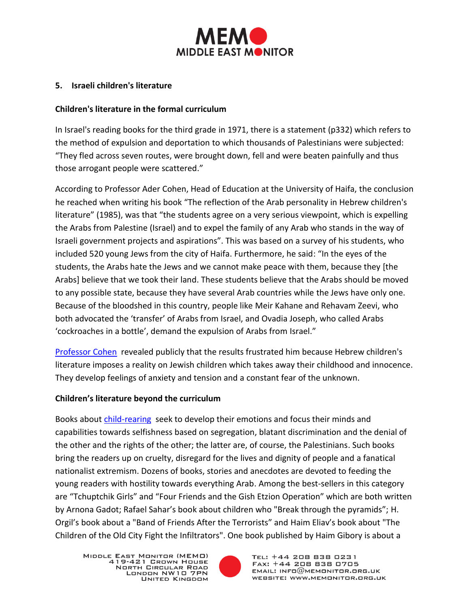

#### **5. Israeli children's literature**

#### **Children's literature in the formal curriculum**

In Israel's reading books for the third grade in 1971, there is a statement (p332) which refers to the method of expulsion and deportation to which thousands of Palestinians were subjected: "They fled across seven routes, were brought down, fell and were beaten painfully and thus those arrogant people were scattered."

According to Professor Ader Cohen, Head of Education at the University of Haifa, the conclusion he reached when writing his book "The reflection of the Arab personality in Hebrew children's literature" (1985), was that "the students agree on a very serious viewpoint, which is expelling the Arabs from Palestine (Israel) and to expel the family of any Arab who stands in the way of Israeli government projects and aspirations". This was based on a survey of his students, who included 520 young Jews from the city of Haifa. Furthermore, he said: "In the eyes of the students, the Arabs hate the Jews and we cannot make peace with them, because they [the Arabs] believe that we took their land. These students believe that the Arabs should be moved to any possible state, because they have several Arab countries while the Jews have only one. Because of the bloodshed in this country, people like Meir Kahane and Rehavam Zeevi, who both advocated the 'transfer' of Arabs from Israel, and Ovadia Joseph, who called Arabs 'cockroaches in a bottle', demand the expulsion of Arabs from Israel."

[Professor Cohen](http://www.syrianstory.com/comment23-12.htm) revealed publicly that the results frustrated him because Hebrew children's literature imposes a reality on Jewish children which takes away their childhood and innocence. They develop feelings of anxiety and tension and a constant fear of the unknown.

#### **Children's literature beyond the curriculum**

Books about [child-rearing](http://members.tripod.com/alabasters_archive/childrens_hate_lit.html) seek to develop their emotions and focus their minds and capabilities towards selfishness based on segregation, blatant discrimination and the denial of the other and the rights of the other; the latter are, of course, the Palestinians. Such books bring the readers up on cruelty, disregard for the lives and dignity of people and a fanatical nationalist extremism. Dozens of books, stories and anecdotes are devoted to feeding the young readers with hostility towards everything Arab. Among the best-sellers in this category are "Tchuptchik Girls" and "Four Friends and the Gish Etzion Operation" which are both written by Arnona Gadot; Rafael Sahar's book about children who "Break through the pyramids"; H. Orgil's book about a "Band of Friends After the Terrorists" and Haim Eliav's book about "The Children of the Old City Fight the Infiltrators". One book published by Haim Gibory is about a

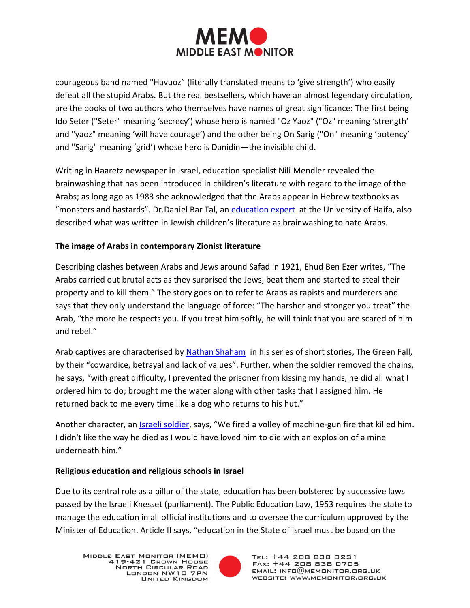

courageous band named "Havuoz" (literally translated means to 'give strength') who easily defeat all the stupid Arabs. But the real bestsellers, which have an almost legendary circulation, are the books of two authors who themselves have names of great significance: The first being Ido Seter ("Seter" meaning 'secrecy') whose hero is named "Oz Yaoz" ("Oz" meaning 'strength' and "yaoz" meaning 'will have courage') and the other being On Sarig ("On" meaning 'potency' and "Sarig" meaning 'grid') whose hero is Danidin—the invisible child.

Writing in Haaretz newspaper in Israel, education specialist Nili Mendler revealed the brainwashing that has been introduced in children's literature with regard to the image of the Arabs; as long ago as 1983 she acknowledged that the Arabs appear in Hebrew textbooks as "monsters and bastards". Dr.Daniel Bar Tal, an [education expert](http://www.syrianstory.com/comment23-12.htm) at the University of Haifa, also described what was written in Jewish children's literature as brainwashing to hate Arabs.

## **The image of Arabs in contemporary Zionist literature**

Describing clashes between Arabs and Jews around Safad in 1921, Ehud Ben Ezer writes, "The Arabs carried out brutal acts as they surprised the Jews, beat them and started to steal their property and to kill them." The story goes on to refer to Arabs as rapists and murderers and says that they only understand the language of force: "The harsher and stronger you treat" the Arab, "the more he respects you. If you treat him softly, he will think that you are scared of him and rebel."

Arab captives are characterised by [Nathan Shaham](http://neinawa.com/vb/viewtopic.php?f=11&t=12&view=unread) in his series of short stories, The Green Fall, by their "cowardice, betrayal and lack of values". Further, when the soldier removed the chains, he says, "with great difficulty, I prevented the prisoner from kissing my hands, he did all what I ordered him to do; brought me the water along with other tasks that I assigned him. He returned back to me every time like a dog who returns to his hut."

Another character, an *Israeli soldier*, says, "We fired a volley of machine-gun fire that killed him. I didn't like the way he died as I would have loved him to die with an explosion of a mine underneath him."

### **Religious education and religious schools in Israel**

Due to its central role as a pillar of the state, education has been bolstered by successive laws passed by the Israeli Knesset (parliament). The Public Education Law, 1953 requires the state to manage the education in all official institutions and to oversee the curriculum approved by the Minister of Education. Article II says, "education in the State of Israel must be based on the

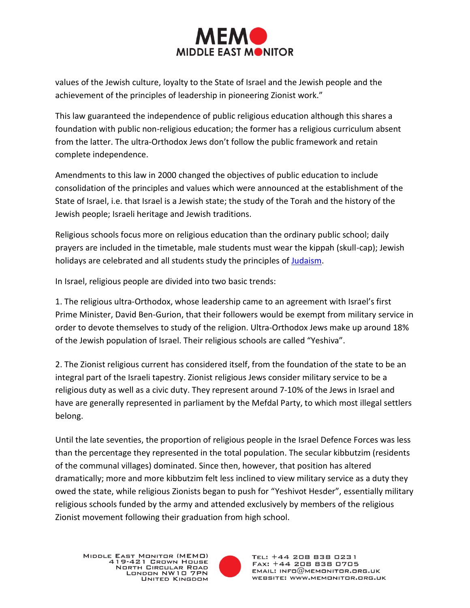

values of the Jewish culture, loyalty to the State of Israel and the Jewish people and the achievement of the principles of leadership in pioneering Zionist work."

This law guaranteed the independence of public religious education although this shares a foundation with public non-religious education; the former has a religious curriculum absent from the latter. The ultra-Orthodox Jews don't follow the public framework and retain complete independence.

Amendments to this law in 2000 changed the objectives of public education to include consolidation of the principles and values which were announced at the establishment of the State of Israel, i.e. that Israel is a Jewish state; the study of the Torah and the history of the Jewish people; Israeli heritage and Jewish traditions.

Religious schools focus more on religious education than the ordinary public school; daily prayers are included in the timetable, male students must wear the kippah (skull-cap); Jewish holidays are celebrated and all students study the principles o[f Judaism.](http://www.ahewar.org/debat/show.art.asp?aid=242799)

In Israel, religious people are divided into two basic trends:

1. The religious ultra-Orthodox, whose leadership came to an agreement with Israel's first Prime Minister, David Ben-Gurion, that their followers would be exempt from military service in order to devote themselves to study of the religion. Ultra-Orthodox Jews make up around 18% of the Jewish population of Israel. Their religious schools are called "Yeshiva".

2. The Zionist religious current has considered itself, from the foundation of the state to be an integral part of the Israeli tapestry. Zionist religious Jews consider military service to be a religious duty as well as a civic duty. They represent around 7-10% of the Jews in Israel and have are generally represented in parliament by the Mefdal Party, to which most illegal settlers belong.

Until the late seventies, the proportion of religious people in the Israel Defence Forces was less than the percentage they represented in the total population. The secular kibbutzim (residents of the communal villages) dominated. Since then, however, that position has altered dramatically; more and more kibbutzim felt less inclined to view military service as a duty they owed the state, while religious Zionists began to push for "Yeshivot Hesder", essentially military religious schools funded by the army and attended exclusively by members of the religious Zionist movement following their graduation from high school.

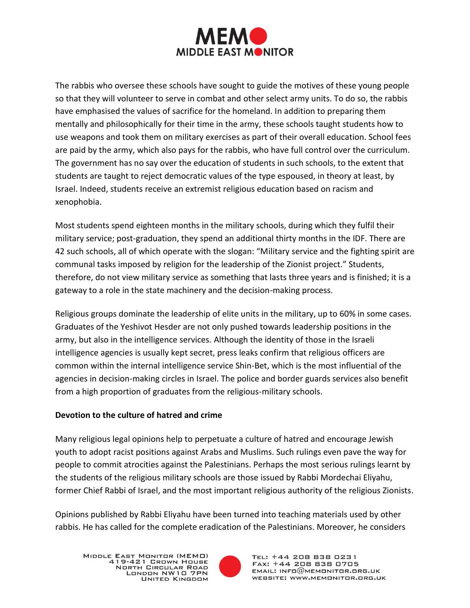

The rabbis who oversee these schools have sought to guide the motives of these young people so that they will volunteer to serve in combat and other select army units. To do so, the rabbis have emphasised the values of sacrifice for the homeland. In addition to preparing them mentally and philosophically for their time in the army, these schools taught students how to use weapons and took them on military exercises as part of their overall education. School fees are paid by the army, which also pays for the rabbis, who have full control over the curriculum. The government has no say over the education of students in such schools, to the extent that students are taught to reject democratic values of the type espoused, in theory at least, by Israel. Indeed, students receive an extremist religious education based on racism and xenophobia.

Most students spend eighteen months in the military schools, during which they fulfil their military service; post-graduation, they spend an additional thirty months in the IDF. There are 42 such schools, all of which operate with the slogan: "Military service and the fighting spirit are communal tasks imposed by religion for the leadership of the Zionist project." Students, therefore, do not view military service as something that lasts three years and is finished; it is a gateway to a role in the state machinery and the decision-making process.

Religious groups dominate the leadership of elite units in the military, up to 60% in some cases. Graduates of the Yeshivot Hesder are not only pushed towards leadership positions in the army, but also in the intelligence services. Although the identity of those in the Israeli intelligence agencies is usually kept secret, press leaks confirm that religious officers are common within the internal intelligence service Shin-Bet, which is the most influential of the agencies in decision-making circles in Israel. The police and border guards services also benefit from a high proportion of graduates from the religious-military schools.

#### **Devotion to the culture of hatred and crime**

Many religious legal opinions help to perpetuate a culture of hatred and encourage Jewish youth to adopt racist positions against Arabs and Muslims. Such rulings even pave the way for people to commit atrocities against the Palestinians. Perhaps the most serious rulings learnt by the students of the religious military schools are those issued by Rabbi Mordechai Eliyahu, former Chief Rabbi of Israel, and the most important religious authority of the religious Zionists.

Opinions published by Rabbi Eliyahu have been turned into teaching materials used by other rabbis. He has called for the complete eradication of the Palestinians. Moreover, he considers

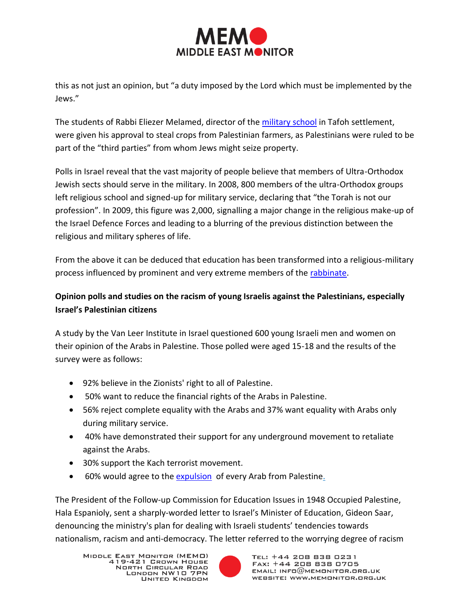

this as not just an opinion, but "a duty imposed by the Lord which must be implemented by the Jews."

The students of Rabbi Eliezer Melamed, director of the [military school](http://www.annabaa.org/nbanews/63/218.htm) in Tafoh settlement, were given his approval to steal crops from Palestinian farmers, as Palestinians were ruled to be part of the "third parties" from whom Jews might seize property.

Polls in Israel reveal that the vast majority of people believe that members of Ultra-Orthodox Jewish sects should serve in the military. In 2008, 800 members of the ultra-Orthodox groups left religious school and signed-up for military service, declaring that "the Torah is not our profession". In 2009, this figure was 2,000, signalling a major change in the religious make-up of the Israel Defence Forces and leading to a blurring of the previous distinction between the religious and military spheres of life.

From the above it can be deduced that education has been transformed into a religious-military process influenced by prominent and very extreme members of the [rabbinate.](http://www.ahewar.org/debat/show.art.asp?aid=242799)

# **Opinion polls and studies on the racism of young Israelis against the Palestinians, especially Israel's Palestinian citizens**

A study by the Van Leer Institute in Israel questioned 600 young Israeli men and women on their opinion of the Arabs in Palestine. Those polled were aged 15-18 and the results of the survey were as follows:

- 92% believe in the Zionists' right to all of Palestine.
- 50% want to reduce the financial rights of the Arabs in Palestine.
- 56% reject complete equality with the Arabs and 37% want equality with Arabs only during military service.
- 40% have demonstrated their support for any underground movement to retaliate against the Arabs.
- 30% support the Kach terrorist movement.
- 60% would agree to the [expulsion](http://www.saaid.net/Minute/32.htm) of every Arab from Palestine.

The President of the Follow-up Commission for Education Issues in 1948 Occupied Palestine, Hala Espanioly, sent a sharply-worded letter to Israel's Minister of Education, Gideon Saar, denouncing the ministry's plan for dealing with Israeli students' tendencies towards nationalism, racism and anti-democracy. The letter referred to the worrying degree of racism

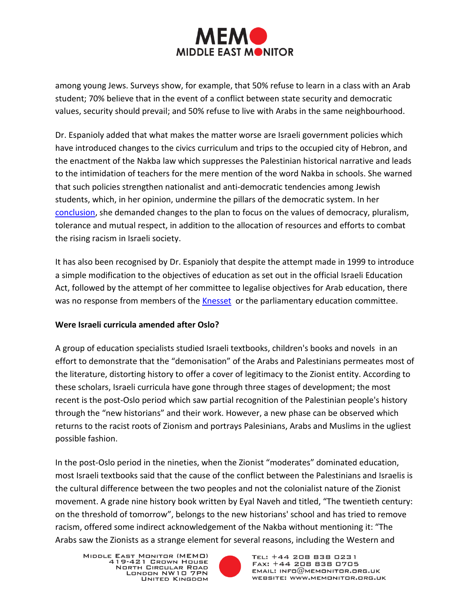

among young Jews. Surveys show, for example, that 50% refuse to learn in a class with an Arab student; 70% believe that in the event of a conflict between state security and democratic values, security should prevail; and 50% refuse to live with Arabs in the same neighbourhood.

Dr. Espanioly added that what makes the matter worse are Israeli government policies which have introduced changes to the civics curriculum and trips to the occupied city of Hebron, and the enactment of the Nakba law which suppresses the Palestinian historical narrative and leads to the intimidation of teachers for the mere mention of the word Nakba in schools. She warned that such policies strengthen nationalist and anti-democratic tendencies among Jewish students, which, in her opinion, undermine the pillars of the democratic system. In her [conclusion,](http://www.qudspress.com/?p=110751) she demanded changes to the plan to focus on the values of democracy, pluralism, tolerance and mutual respect, in addition to the allocation of resources and efforts to combat the rising racism in Israeli society.

It has also been recognised by Dr. Espanioly that despite the attempt made in 1999 to introduce a simple modification to the objectives of education as set out in the official Israeli Education Act, followed by the attempt of her committee to legalise objectives for Arab education, there was no response from members of the [Knesset](http://www.syrianstory.com/comment23-12.htm) or the parliamentary education committee.

### **Were Israeli curricula amended after Oslo?**

A group of education specialists studied Israeli textbooks, children's books and novels in an effort to demonstrate that the "demonisation" of the Arabs and Palestinians permeates most of the literature, distorting history to offer a cover of legitimacy to the Zionist entity. According to these scholars, Israeli curricula have gone through three stages of development; the most recent is the post-Oslo period which saw partial recognition of the Palestinian people's history through the "new historians" and their work. However, a new phase can be observed which returns to the racist roots of Zionism and portrays Palesinians, Arabs and Muslims in the ugliest possible fashion.

In the post-Oslo period in the nineties, when the Zionist "moderates" dominated education, most Israeli textbooks said that the cause of the conflict between the Palestinians and Israelis is the cultural difference between the two peoples and not the colonialist nature of the Zionist movement. A grade nine history book written by Eyal Naveh and titled, "The twentieth century: on the threshold of tomorrow", belongs to the new historians' school and has tried to remove racism, offered some indirect acknowledgement of the Nakba without mentioning it: "The Arabs saw the Zionists as a strange element for several reasons, including the Western and

MIDDLE EAST MONITOR (MEMO) 419-421 GROWN HOUSE NORTH CIRCULAR ROAD LONDON NW10 7PN UNITED KINGDOM

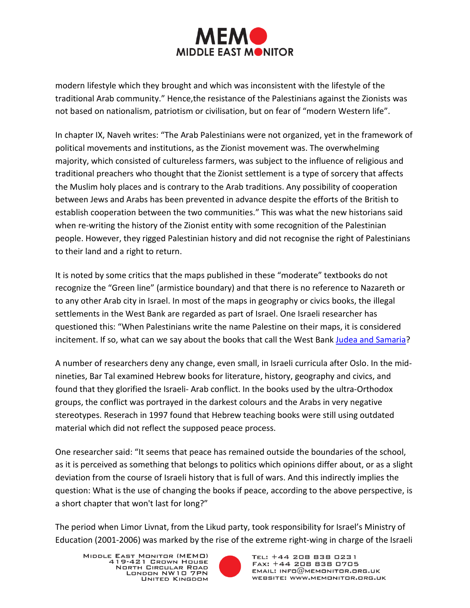

modern lifestyle which they brought and which was inconsistent with the lifestyle of the traditional Arab community." Hence,the resistance of the Palestinians against the Zionists was not based on nationalism, patriotism or civilisation, but on fear of "modern Western life".

In chapter IX, Naveh writes: "The Arab Palestinians were not organized, yet in the framework of political movements and institutions, as the Zionist movement was. The overwhelming majority, which consisted of cultureless farmers, was subject to the influence of religious and traditional preachers who thought that the Zionist settlement is a type of sorcery that affects the Muslim holy places and is contrary to the Arab traditions. Any possibility of cooperation between Jews and Arabs has been prevented in advance despite the efforts of the British to establish cooperation between the two communities." This was what the new historians said when re-writing the history of the Zionist entity with some recognition of the Palestinian people. However, they rigged Palestinian history and did not recognise the right of Palestinians to their land and a right to return.

It is noted by some critics that the maps published in these "moderate" textbooks do not recognize the "Green line" (armistice boundary) and that there is no reference to Nazareth or to any other Arab city in Israel. In most of the maps in geography or civics books, the illegal settlements in the West Bank are regarded as part of Israel. One Israeli researcher has questioned this: "When Palestinians write the name Palestine on their maps, it is considered incitement. If so, what can we say about the books that call the West Bank [Judea and Samaria?](http://www.alqudsnews.net/news/index.php?option=com_content&view=article&id=2730:----48&catid=54:2011-01-14-14-36-42&Itemid=237)

A number of researchers deny any change, even small, in Israeli curricula after Oslo. In the midnineties, Bar Tal examined Hebrew books for literature, history, geography and civics, and found that they glorified the Israeli- Arab conflict. In the books used by the ultra-Orthodox groups, the conflict was portrayed in the darkest colours and the Arabs in very negative stereotypes. Reserach in 1997 found that Hebrew teaching books were still using outdated material which did not reflect the supposed peace process.

One researcher said: "It seems that peace has remained outside the boundaries of the school, as it is perceived as something that belongs to politics which opinions differ about, or as a slight deviation from the course of Israeli history that is full of wars. And this indirectly implies the question: What is the use of changing the books if peace, according to the above perspective, is a short chapter that won't last for long?"

The period when Limor Livnat, from the Likud party, took responsibility for Israel's Ministry of Education (2001-2006) was marked by the rise of the extreme right-wing in charge of the Israeli

MIDDLE EAST MONITOR (MEMO) 419-421 GROWN HOUSE NORTH CIRCULAR ROAD LONDON NW10 7PN UNITED KINGDOM